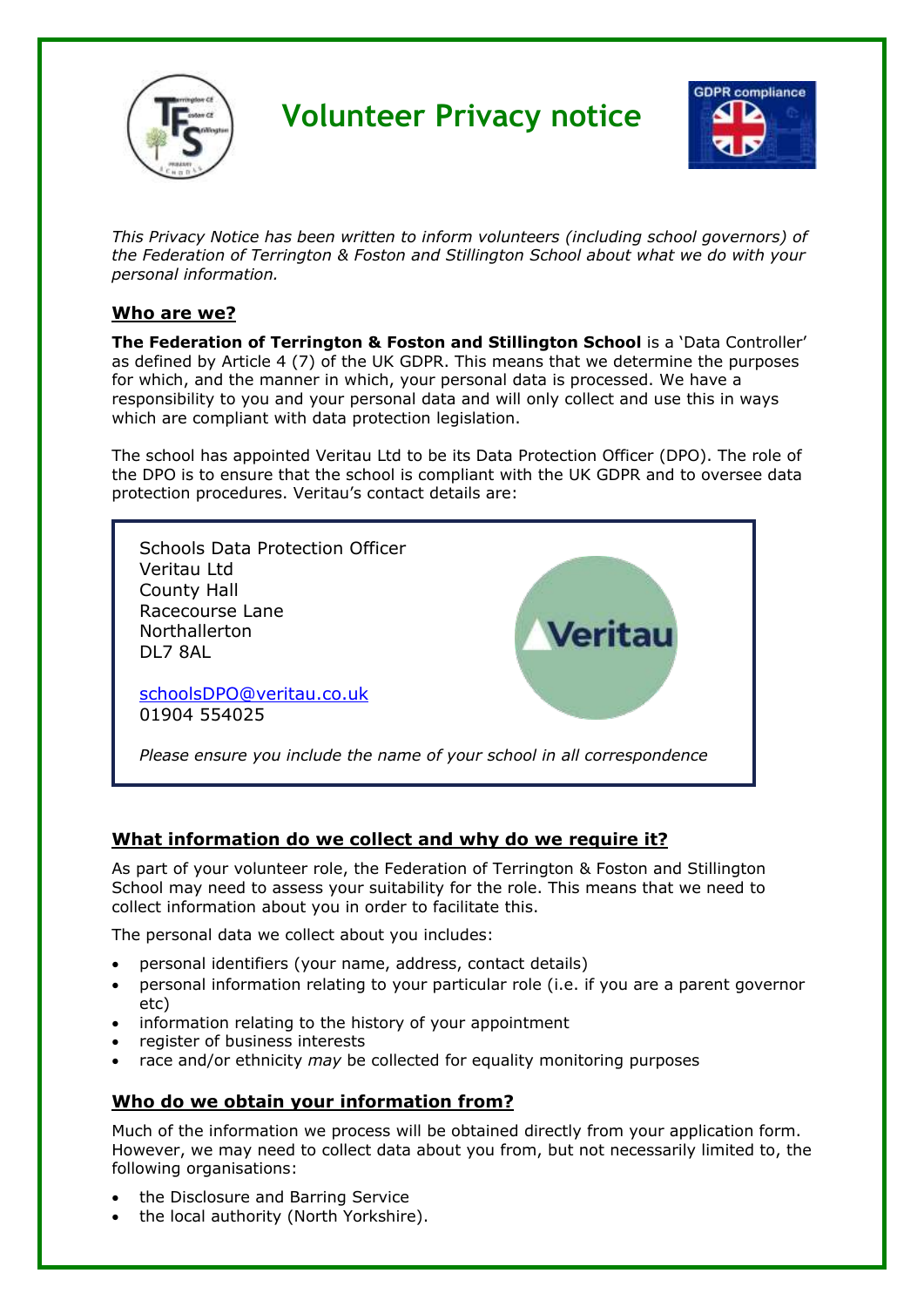

# **Volunteer Privacy notice**



*This Privacy Notice has been written to inform volunteers (including school governors) of the Federation of Terrington & Foston and Stillington School about what we do with your personal information.* 

### **Who are we?**

**The Federation of Terrington & Foston and Stillington School** is a 'Data Controller' as defined by Article 4 (7) of the UK GDPR. This means that we determine the purposes for which, and the manner in which, your personal data is processed. We have a responsibility to you and your personal data and will only collect and use this in ways which are compliant with data protection legislation.

The school has appointed Veritau Ltd to be its Data Protection Officer (DPO). The role of the DPO is to ensure that the school is compliant with the UK GDPR and to oversee data protection procedures. Veritau's contact details are:



## **What information do we collect and why do we require it?**

As part of your volunteer role, the Federation of Terrington & Foston and Stillington School may need to assess your suitability for the role. This means that we need to collect information about you in order to facilitate this.

The personal data we collect about you includes:

- personal identifiers (your name, address, contact details)
- personal information relating to your particular role (i.e. if you are a parent governor etc)
- information relating to the history of your appointment
- register of business interests
- race and/or ethnicity *may* be collected for equality monitoring purposes

#### **Who do we obtain your information from?**

Much of the information we process will be obtained directly from your application form. However, we may need to collect data about you from, but not necessarily limited to, the following organisations:

- the Disclosure and Barring Service
- the local authority (North Yorkshire).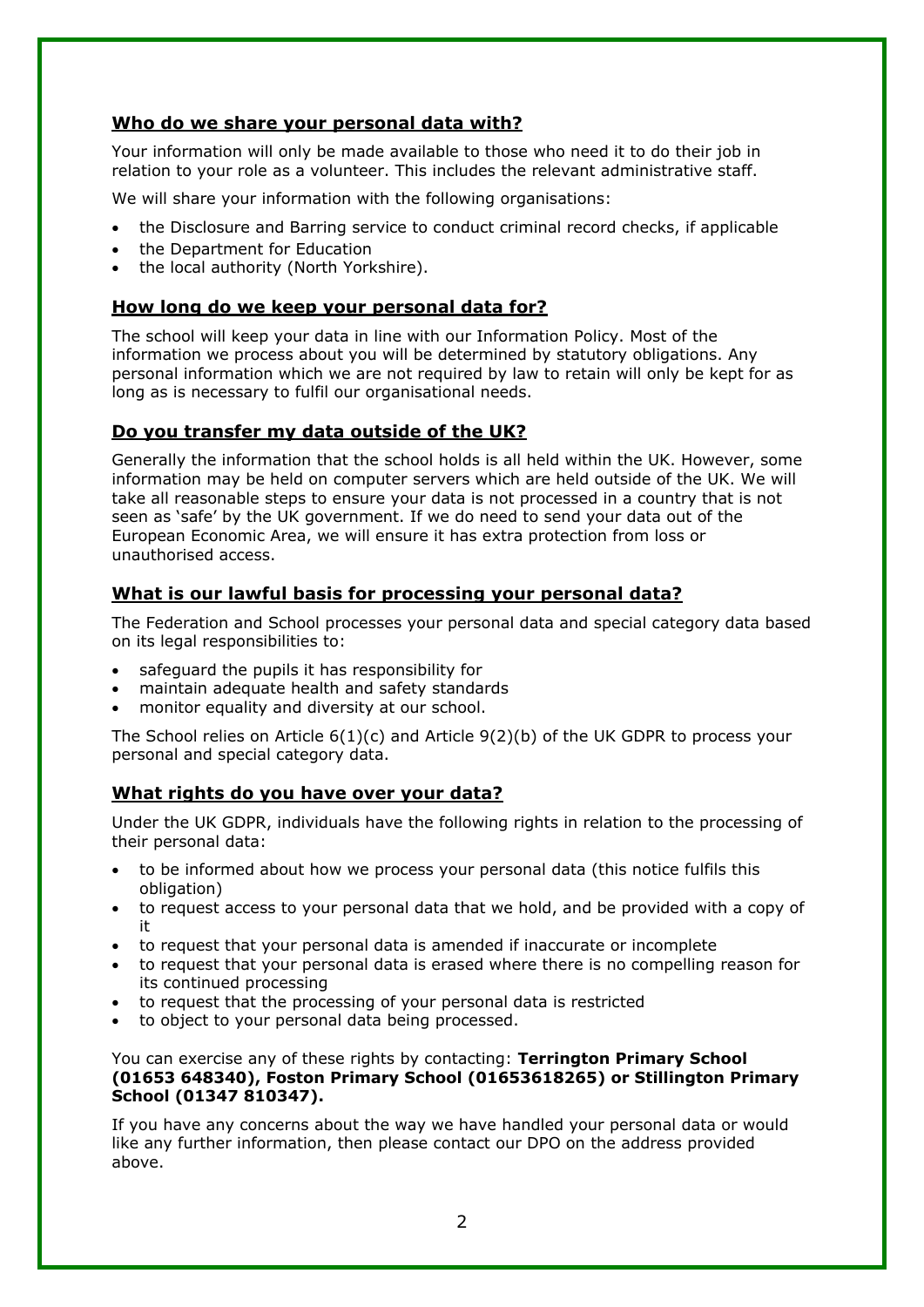### **Who do we share your personal data with?**

Your information will only be made available to those who need it to do their job in relation to your role as a volunteer. This includes the relevant administrative staff.

We will share your information with the following organisations:

- the Disclosure and Barring service to conduct criminal record checks, if applicable
- the Department for Education
- the local authority (North Yorkshire).

### **How long do we keep your personal data for?**

The school will keep your data in line with our Information Policy. Most of the information we process about you will be determined by statutory obligations. Any personal information which we are not required by law to retain will only be kept for as long as is necessary to fulfil our organisational needs.

## **Do you transfer my data outside of the UK?**

Generally the information that the school holds is all held within the UK. However, some information may be held on computer servers which are held outside of the UK. We will take all reasonable steps to ensure your data is not processed in a country that is not seen as 'safe' by the UK government. If we do need to send your data out of the European Economic Area, we will ensure it has extra protection from loss or unauthorised access.

## **What is our lawful basis for processing your personal data?**

The Federation and School processes your personal data and special category data based on its legal responsibilities to:

- safeguard the pupils it has responsibility for
- maintain adequate health and safety standards
- monitor equality and diversity at our school.

The School relies on Article 6(1)(c) and Article 9(2)(b) of the UK GDPR to process your personal and special category data.

## **What rights do you have over your data?**

Under the UK GDPR, individuals have the following rights in relation to the processing of their personal data:

- to be informed about how we process your personal data (this notice fulfils this obligation)
- to request access to your personal data that we hold, and be provided with a copy of it
- to request that your personal data is amended if inaccurate or incomplete
- to request that your personal data is erased where there is no compelling reason for its continued processing
- to request that the processing of your personal data is restricted
- to object to your personal data being processed.

You can exercise any of these rights by contacting: **Terrington Primary School (01653 648340), Foston Primary School (01653618265) or Stillington Primary School (01347 810347).**

If you have any concerns about the way we have handled your personal data or would like any further information, then please contact our DPO on the address provided above.